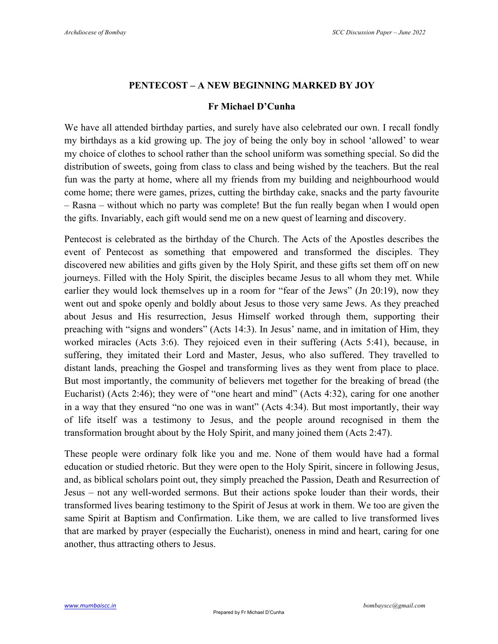## **PENTECOST – A NEW BEGINNING MARKED BY JOY**

## **Fr Michael D'Cunha**

We have all attended birthday parties, and surely have also celebrated our own. I recall fondly my birthdays as a kid growing up. The joy of being the only boy in school 'allowed' to wear my choice of clothes to school rather than the school uniform was something special. So did the distribution of sweets, going from class to class and being wished by the teachers. But the real fun was the party at home, where all my friends from my building and neighbourhood would come home; there were games, prizes, cutting the birthday cake, snacks and the party favourite – Rasna – without which no party was complete! But the fun really began when I would open the gifts. Invariably, each gift would send me on a new quest of learning and discovery.

Pentecost is celebrated as the birthday of the Church. The Acts of the Apostles describes the event of Pentecost as something that empowered and transformed the disciples. They discovered new abilities and gifts given by the Holy Spirit, and these gifts set them off on new journeys. Filled with the Holy Spirit, the disciples became Jesus to all whom they met. While earlier they would lock themselves up in a room for "fear of the Jews" (Jn 20:19), now they went out and spoke openly and boldly about Jesus to those very same Jews. As they preached about Jesus and His resurrection, Jesus Himself worked through them, supporting their preaching with "signs and wonders" (Acts 14:3). In Jesus' name, and in imitation of Him, they worked miracles (Acts 3:6). They rejoiced even in their suffering (Acts 5:41), because, in suffering, they imitated their Lord and Master, Jesus, who also suffered. They travelled to distant lands, preaching the Gospel and transforming lives as they went from place to place. But most importantly, the community of believers met together for the breaking of bread (the Eucharist) (Acts 2:46); they were of "one heart and mind" (Acts 4:32), caring for one another in a way that they ensured "no one was in want" (Acts 4:34). But most importantly, their way of life itself was a testimony to Jesus, and the people around recognised in them the transformation brought about by the Holy Spirit, and many joined them (Acts 2:47).

These people were ordinary folk like you and me. None of them would have had a formal education or studied rhetoric. But they were open to the Holy Spirit, sincere in following Jesus, and, as biblical scholars point out, they simply preached the Passion, Death and Resurrection of Jesus – not any well-worded sermons. But their actions spoke louder than their words, their transformed lives bearing testimony to the Spirit of Jesus at work in them. We too are given the same Spirit at Baptism and Confirmation. Like them, we are called to live transformed lives that are marked by prayer (especially the Eucharist), oneness in mind and heart, caring for one another, thus attracting others to Jesus.